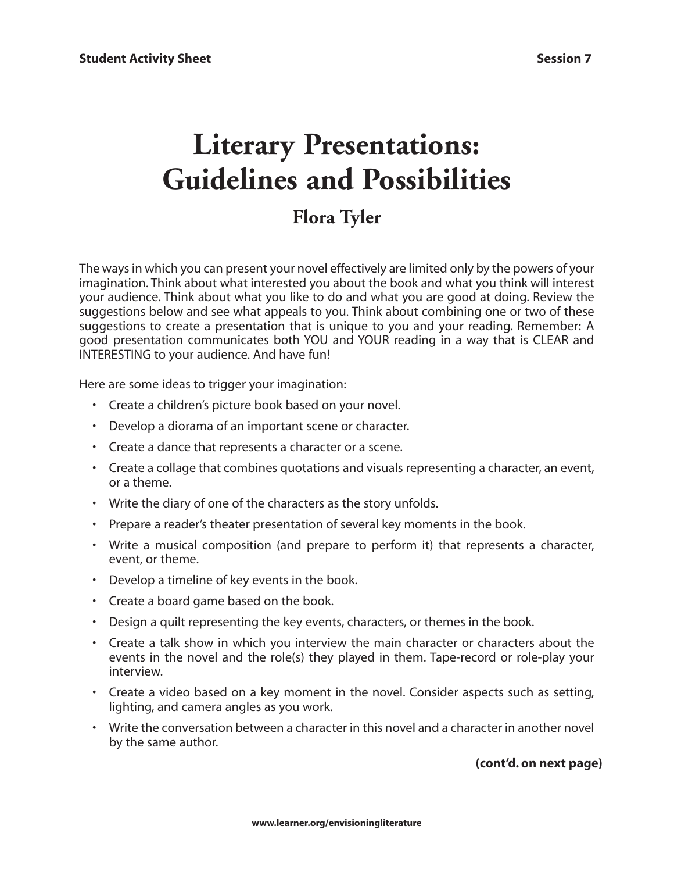## **Literary Presentations: Guidelines and Possibilities**

## **Flora Tyler**

The ways in which you can present your novel effectively are limited only by the powers of your imagination. Think about what interested you about the book and what you think will interest your audience. Think about what you like to do and what you are good at doing. Review the suggestions below and see what appeals to you. Think about combining one or two of these suggestions to create a presentation that is unique to you and your reading. Remember: A good presentation communicates both YOU and YOUR reading in a way that is CLEAR and INTERESTING to your audience. And have fun!

Here are some ideas to trigger your imagination:

- Create a children's picture book based on your novel.
- Develop a diorama of an important scene or character.
- Create a dance that represents a character or a scene.
- Create a collage that combines quotations and visuals representing a character, an event, or a theme.
- Write the diary of one of the characters as the story unfolds.
- Prepare a reader's theater presentation of several key moments in the book.
- Write a musical composition (and prepare to perform it) that represents a character, event, or theme.
- Develop a timeline of key events in the book.
- Create a board game based on the book.
- Design a quilt representing the key events, characters, or themes in the book.
- Create a talk show in which you interview the main character or characters about the events in the novel and the role(s) they played in them. Tape-record or role-play your interview.
- Create a video based on a key moment in the novel. Consider aspects such as setting, lighting, and camera angles as you work.
- Write the conversation between a character in this novel and a character in another novel by the same author.

## **(cont'd. on next page)**